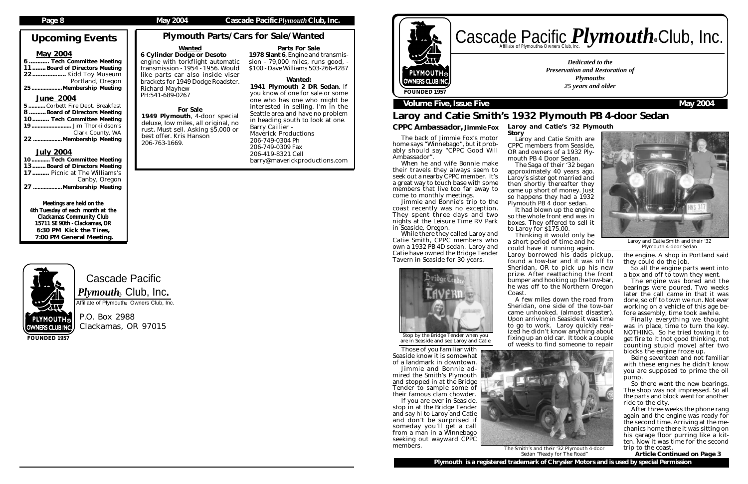Cascade Pacific  $\boldsymbol{P} \boldsymbol{l}$ y $\boldsymbol{m} \boldsymbol{o}$ ut $\boldsymbol{h}_\circledast$  Club, Inc. Affiliate of Plymouth<sup>®</sup> Owners Club, Inc.

P.O. Box 2988 Clackamas, OR 97015

# Upcoming Events

### May 2004

6 ............ Tech Committee Meeting 11........ Board of Directors Meeting 22.................... Kidd Toy Museum Portland, Oregon 25....................Membership Meeting

### June 2004

| 5 Corbett Fire Dept. Breakfast |
|--------------------------------|
| 8 Board of Directors Meeting   |
| 10 Tech Committee Meeting      |
|                                |
| Clark County, WA               |
| 22 Membership Meeting          |

### July 2004

....... Tech Committee Meeting 13........ Board of Directors Meeting 17.......... Picnic at The Williams's Canby, Oregon<br>Membership Meeting וMembership ...Membership Meeting

# Cascade Pacific *Plymouth* Souriers Club, Inc. R

Meetings are held on the 4th Tuesday of each month at the Clackamas Community Club 15711 SE 90th - Clackamas, OR 6:30 PM Kick the Tires, 7:00 PM General Meeting.



**FOUNDED 1957**

*Dedicated to the Preservation and Restoration of Plymouths 25 years and older*



# R

# **Volume Five, Issue Five Contract Contract Contract Contract Contract Contract Contract Contract Contract Contract Contract Contract Contract Contract Contract Contract Contract Contract Contract Contract Contract Contract**

# Laroy and Catie Smith's 1932 Plymouth PB 4-door Sedan

### *CPPC Ambassador, Jimmie Fox*

It had blown up the engine so the whole front end was in boxes. They offered to sell it to Laroy for \$175.00.

The back of Jimmie Fox's motor home says "Winnebago", but it probably should say "CPPC Good Will Ambassador".

When he and wife Bonnie make their travels they always seem to seek out a nearby CPPC member. It's a great way to touch base with some members that live too far away to come to monthly meetings.

Jimmie and Bonnie's trip to the coast recently was no exception. They spent three days and two nights at the Leisure Time RV Park in Seaside, Oregon.

While there they called Laroy and Catie Smith, CPPC members who own a 1932 PB 4D sedan. Laroy and Catie have owned the Bridge Tender Tavern in Seaside for 30 years.



So there went the new bearings. The shop was not impressed. So all the parts and block went for another ride to the city.

Those of you familiar with Seaside know it is somewhat of a landmark in downtown. Jimmie and Bonnie admired the Smith's Plymouth and stopped in at the Bridge Tender to sample some of their famous clam chowder. If you are ever in Seaside, stop in at the Bridge Tender

and say hi to Laroy and Catie and don't be surprised if someday you'll get a call from a man in a Winnebago seeking out wayward CPPC members.

*Laroy and Catie's '32 Plymouth*

*Story*

Laroy and Catie Smith are CPPC members from Seaside, OR and owners of a 1932 Ply-

mouth PB 4 Door Sedan. The Saga of their '32 began approximately 40 years ago. Laroy's sister got married and then shortly thereafter they came up short of money. Just so happens they had a 1932 Plymouth PB 4 door sedan.

# Plymouth Parts/Cars for Sale/Wanted Parts For Sale

Thinking it would only be a short period of time and he could have it running again.

Laroy borrowed his dads pickup, found a tow-bar and it was off to Sheridan, OR to pick up his new prize. After reattaching the front bumper and hooking up the tow-bar, he was off to the Northern Oregon

Coast.

A few miles down the road from Sheridan, one side of the tow-bar came unhooked. (almost disaster). Upon arriving in Seaside it was time to go to work. Laroy quickly realized he didn't know anything about fixing up an old car. It took a couple of weeks to find someone to repair

the engine. A shop in Portland said they could do the job.

So all the engine parts went into a box and off to town they went.

The engine was bored and the bearings were poured. Two weeks later the call came in that it was done, so off to town we run. Not ever working on a vehicle of this age before assembly, time took awhile.

Finally everything we thought was in place, time to turn the key. NOTHING. So he tried towing it to get fire to it (not good thinking, not counting stupid move) after two blocks the engine froze up.

Being seventeen and not familiar with these engines he didn't know you are supposed to prime the oil pump.

After three weeks the phone rang again and the engine was ready for the second time. Arriving at the mechanics home there it was sitting on his garage floor purring like a kitten. Now it was time for the second trip to the coast.

 *Article Continued on Page 3*

For Sale 1949 Plymouth, 4-door special deluxe, low miles, all original, no rust. Must sell. Asking \$5,000 or

best offer. Kris Hanson

206-763-1669.



Laroy and Catie Smith and their '32 Plymouth 4-door Sedan



Sedan "Ready for The Road"

Stop by the Bridge Tender when you are in Seaside and see Laroy and Catie

1978 Slant 6, Engine and transmission - 79,000 miles, runs good, - \$100 - Dave Williams 503-266-4287 6 Cylinder Dodge or Desoto engine with torkflight automatic transmission - 1954 - 1956. Would like parts car also inside viser brackets for 1949 Dodge Roadster. Richard Mayhew

### Wanted: 1941 Plymouth 2 DR Sedan. If you know of one for sale or some one who has one who might be interested in selling. I'm in the

Seattle area and have no problem in heading south to look at one. Barry Caillier - Maverick Productions 206-749-0304 Ph 206-749-0309 Fax 206-419-8321 Cell barry@maverickproductions.com

Wanted

PH:541-689-0267

### Page 8 **May 2004** Cascade Pacific *Plymouth* Club, Inc.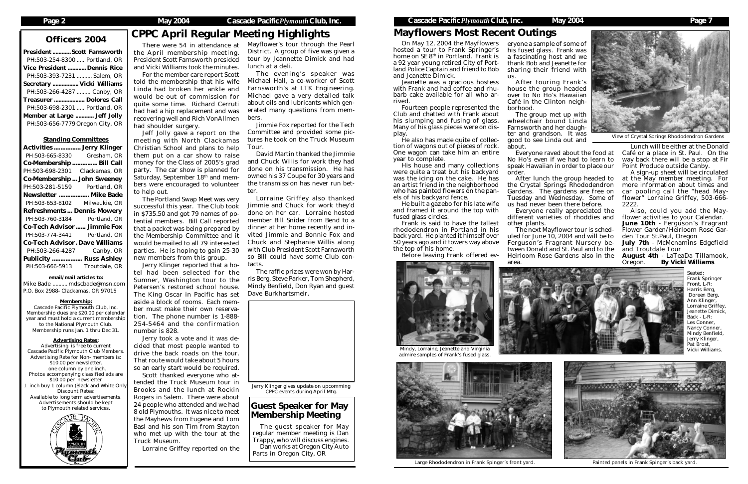# Officers 2004 CPPC April Regular Meeting Highlights

President ............Scott Farnsworth PH:503-254-8300 ..... Portland, OR Vice President ............ Dennis Rice PH:503-393-7231 .......... Salem, OR Secretary ................. Vicki Williams PH:503-266-4287 ......... Canby, OR Treasurer .................... Dolores Call PH:503-698-2301 ..... Portland, OR Member at Large ............ Jeff Jolly PH:503-656-7779Oregon City, OR

### Standing Committees

| <b>Activities  Jerry Klinger</b>      |                    |
|---------------------------------------|--------------------|
| PH:503-665-8330                       | Gresham, OR        |
| Co-Membership                         | Bill Call          |
| PH:503-698-2301                       | Clackamas, OR      |
| <b>Co-Membership John Sweeney</b>     |                    |
| PH:503-281-5159                       | Portland, OR       |
| Newsletter  Mike Bade                 |                    |
| PH:503-653-8102                       | Milwaukie, OR      |
| <b>Refreshments Dennis Mowery</b>     |                    |
|                                       |                    |
| PH:503-760-3184                       | Portland, OR       |
| <b>Co-Tech Advisor Jimmie Fox</b>     |                    |
| PH:503-774-3441                       | Portland, OR       |
| <b>Co-Tech Advisor. Dave Williams</b> |                    |
| PH:503-266-4287                       | Canby, OR          |
| <b>Publicity </b>                     | <b>Russ Ashley</b> |
| PH:503-666-5913                       | Troutdale, OR      |

### email/mail articles to:

Mike Bade .......... mdscbade@msn.com P.O. Box 2988- Clackamas, OR 97015

### Membership:

Cascade Pacific Plymouth Club, Inc. Membership dues are \$20.00 per calendar year and must hold a current membership to the National Plymouth Club. Membership runs Jan. 1 thru Dec 31.

### Advertising Rates:

Advertising is free to current Cascade Pacific Plymouth Club Members. Advertising Rate for Non- members is: \$10.00 per newsletter. one column by one inch. Photos accompanying classified ads are \$10.00 per newsletter inch buy 1 column (Black and White Only Discount Rates: Available to long term advertisements. Advertisements should be kept to Plymouth related services.



There were 54 in attendance at the April membership meeting. President Scott Farnsworth presided and Vicki Williams took the minutes.

For the member care report Scott told the membership that his wife Linda had broken her ankle and would be out of commission for quite some time. Richard Cerruti had had a hip replacement and was recovering well and Rich VonAllmen had shoulder surgery.

Jeff Jolly gave a report on the meeting with North Clackamas Christian School and plans to help them put on a car show to raise money for the Class of 2005's grad party. The car show is planned for Saturday, September 18<sup>th</sup> and members were encouraged to volunteer to help out.

The Portland Swap Meet was very successful this year. The Club took in \$735.50 and got 79 names of potential members. Bill Call reported that a packet was being prepared by the Membership Committee and it would be mailed to all 79 interested parties. He is hoping to gain 25-30 new members from this group.

Jerry Klinger reported that a hotel had been selected for the Sumner, Washington tour to the Petersen's restored school house. The King Oscar in Pacific has set aside a block of rooms. Each member must make their own reservation. The phone number is 1-888- 254-5464 and the confirmation number is 828.

Jerry took a vote and it was decided that most people wanted to drive the back roads on the tour. That route would take about 5 hours so an early start would be required.

Scott thanked everyone who attended the Truck Museum tour in Brooks and the lunch at Rockin Rogers in Salem. There were about 24 people who attended and we had 8 old Plymouths. It was nice to meet the Mayhews from Eugene and Tom Basl and his son Tim from Stayton who met up with the tour at the Truck Museum.

Lorraine Griffey reported on the

### Guest Speaker for May Membership Meeting

The guest speaker for May regular member meeting is Dan Trappy, who will discuss engines. Dan works at Oregon City Auto

Parts in Oregon City, OR

### **Cascade Pacific** *Plymouth* Club, Inc. May 2004 May 2004 Page 7

Mayflower's tour through the Pearl District. A group of five was given a tour by Jeannette Dimick and had lunch at a deli.

The evening's speaker was Michael Hall, a co-worker of Scott Farnsworth's at LTK Engineering. Michael gave a very detailed talk about oils and lubricants which generated many questions from members.

Jimmie Fox reported for the Tech Committee and provided some pictures he took on the Truck Museum Tour.

David Martin thanked the Jimmie and Chuck Willis for work they had done on his transmission. He has owned his 37 Coupe for 30 years and the transmission has never run better.

Lorraine Griffey also thanked Jimmie and Chuck for work they'd done on her car. Lorraine hosted member Bill Snider from Bend to a dinner at her home recently and invited Jimmie and Bonnie Fox and Chuck and Stephanie Willis along with Club President Scott Farnsworth so Bill could have some Club contacts.

The raffle prizes were won by Harris Berg, Steve Parker, Tom Shepherd, Mindy Benfield, Don Ryan and guest Dave Burkhartsmeir.



eryone a sample of some of his fused glass. Frank was a fascinating host and we thank Bob and Jeanette for sharing their friend with us.

After touring Frank's

house the group headed over to No Ho's Hawaiian Café in the Clinton neighborhood.

The group met up with wheelchair bound Linda Farnsworth and her daughter and grandson. It was good to see Linda out and about.

Everyone raved about the food at No Ho's even if we had to learn to speak Hawaiian in order to place our

order.

After lunch the group headed to the Crystal Springs Rhododendron Gardens. The gardens are free on Tuesday and Wednesday. Some of us had never been there before.

Everyone really appreciated the different varieties of rhoddies and

other plants.

The next Mayflower tour is scheduled for June 10, 2004 and will be to Ferguson's Fragrant Nursery between Donald and St. Paul and to the Heirloom Rose Gardens also in the

area.



Lunch will be either at the Donald Café or a place in St. Paul. On the way back there will be a stop at Fir Point Produce outside Canby.

A sign-up sheet will be circulated at the May member meeting. For more information about times and car pooling call the "head Mayflower" Lorraine Griffey, 503-666-2222.

Also, could you add the Mayflower activities to your Calendar. June 10th - Ferguson's Fragrant Flower Garden/Heirloom Rose Garden Tour St.Paul, Oregon

July 7th - McMenamins Edgefield and Troutdale Tour

August 4th - LaTeaDa Tillamook, Oregon. *By Vicki Williams*

On May 12, 2004 the Mayflowers hosted a tour to Frank Springer's home on  $SE 8<sup>th</sup>$  in Portland. Frank is a 92 year young retired City of Portland Police Captain and friend to Bob and Jeanette Dimick.

Jeanette was a gracious hostess with Frank and had coffee and rhubarb cake available for all who arrived.

Fourteen people represented the Club and chatted with Frank about his slumping and fusing of glass. Many of his glass pieces were on display.

He also has made quite of collection of wagons out of pieces of rock. One wagon can take him an entire year to complete.

His house and many collections were quite a treat but his backyard was the icing on the cake. He has an artist friend in the neighborhood who has painted flowers on the panels of his backyard fence.

He built a gazebo for his late wife and framed it around the top with fused glass circles.

Frank is said to have the tallest rhododendron in Portland in his back yard. He planted it himself over 50 years ago and it towers way above the top of his home.

Before leaving Frank offered ev-

Seated: Frank Springer Front, L-R: Harris Berg, Doreen Berg, Ann Klinger, Lorraine Griffey, Jeanette Dimick, Back - L-R: Les Conner, Nancy Conner, Mindy Benfield, Jerry Klinger, Pat Brost, Vicki Williams.





Large Rhododendron in Frank Spinger's front yard. Painted panels in Frank Spinger's back yard.



Mindy, Lorraine, Jeanette and Virginia admire samples of Frank's fused glass.



View of Crystal Springs Rhododendron Gardens

# Mayflowers Most Recent Outings

Jerry Klinger gives update on upcomming CPPC events during April Mtg.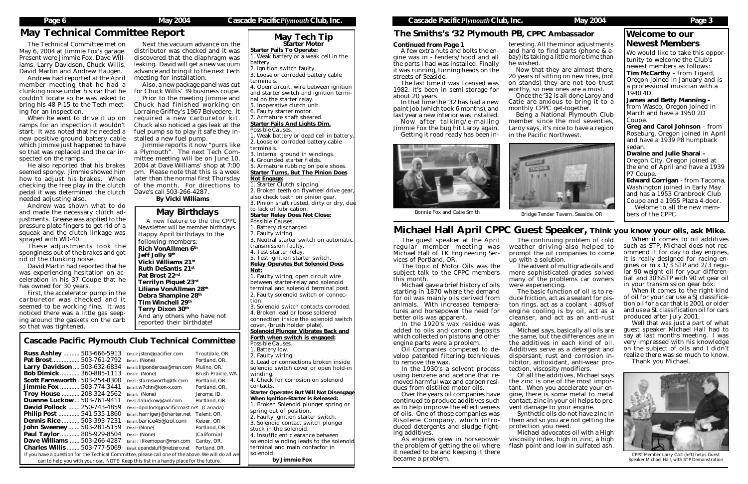

CPPC Member Larry Catt (left) helps Guest Speaker Michael Hall, with STP Demonstration

The guest speaker at the April regular member meeting was Michael Hall of TK Engineering Ser-

vices of Portland, OR. this month.

The topic of Motor Oils was the subject talk to the CPPC members

Michael gave a brief history of oils starting in 1870 where the demand for oil was mainly oils derived from animals. With increased temperatures and horsepower the need for better oils was apparent.

In the 1920's wax residue was

added to oils and carbon deposits which collected on pistons and other engine parts were a problem.

Oil Companies competed to de-

velop patented filtering techniques to remove the wax.

In the 1930's a solvent process

using benzene and acetone that removed harmful wax and carbon residues from distilled motor oils.

Over the years oil companies have

continued to produce additives such as to help improve the effectiveness of oils. One of those companies was Risolene Company, which introduced detergents and sludge fight-

ing additives.

As engines grew in horsepower the problem of getting the oil where it needed to be and keeping it there

ilikemopar@msn.com Canby, OR. Charles Willis ........ 503-777-5069 *Email: upandstuff@netzero.net Portland, OR.*

please call one of the above. We will do all we his list in a handy place for the future.

became a problem.

# Michael Hall April CPPC Guest Speaker, Think you know your oils, ask Mike.

1. Starter Clutch slipping. 2. Broken teeth on flywheel drive gear

### Solenoid Plunger Vibrates Back and Forth when switch is engaged:

John Sweeney....... 503-281-5159 *Email: (None) Portland, OR* Paul Taylor............ 805-929-8504 *Email: (None) (California)*

Starter Fails To Operate:

1. Weak battery or a weak cell in the

battery.

2. Ignition switch faulty.

3. Loose or corroded battery cable

terminals.

4. Open circuit, wire between ignition and starter switch and ignition termi-

nal on the starter relay.

*Possible Causes.*

5. Inoperative clutch unit. 6. Faulty starter motor. 7. Armature shaft sheared. Starter Fails And Lights Dim. 1. Weak battery or dead cell in battery. 2. Loose or corroded battery cable 3. Internal ground in windings.

May Technical Committee Report<br>The Technical Committee met on Next the vacuum advance on the Starter Motor Next the vacuum advance on the distributor was checked and it was discovered that the diaphragm was leaking. David will get a new vacuum advance and bring it to the next Tech meeting for installation.

terminals.

4. Grounded starter fields.

5. Armature rubbing on pole shoes. Starter Turns, But The Pinion Does Not Engage:

also check teeth on pinion gear. 3. Pinion shaft rusted, dirty or dry, due

> The advent of multigrade oils and more sophisticated grades solved many of the problems car owners were experiencing.

### to lack of lubrication. Starter Relay Does Not Close:

Possible Causes. 1. Battery discharged

2. Faulty wiring. 3. Neutral starter switch on automatic

transmission faulty. 4. Test starter relay.

5. Test ignition starter switch.

Relay Operates But Solenoid Does Not:

| so that was tightened.                                   | reported their birthdate.                 |                    |  |  |  |
|----------------------------------------------------------|-------------------------------------------|--------------------|--|--|--|
| <b>Cascade Pacific Plymouth Club Technical Committee</b> |                                           |                    |  |  |  |
| <b>Russ Ashley  503-666-5913</b>                         | Email: jsten@pacifier.com                 | Troutdale, OR.     |  |  |  |
|                                                          | Email: (None)                             | Portland. OR.      |  |  |  |
| Larry Davidson  503-632-6834                             | Email: lilponderosa@msn.com               | Mulino. OR.        |  |  |  |
| <b>Bob Dimick </b><br>360-885-1113                       | Email: (None)                             | Brush Prairie, WA. |  |  |  |
| <b>Scott Farnsworth . 503-254-8300</b>                   | Email: sfarnsworth@ltk.com                | Portland, OR.      |  |  |  |
| <b>Jimmie Fox  503-774-3441</b>                          | $E$ mail: w $7$ chn@kon-x.com             | Portland, OR.      |  |  |  |
| <b>Troy House  208-324-2562</b>                          | Email: (None)                             | Jerome. ID.        |  |  |  |
| <b>Duanne Luckow 503-761-9411</b>                        | Email daluckow@aol.com                    | Portland. OR.      |  |  |  |
| <b>David Pollock  250-743-4859</b>                       | Email: dpollock@pacificcoast.net (Canada) |                    |  |  |  |
| Philip Post  541-535-1860                                | Email: harrigerj@charter.net Talent, OR.  |                    |  |  |  |

*barice 45@aol.com Keizer, OR* 

1. Faulty wiring, open circuit wire between starter-relay and solenoid terminal and solenoid terminal post. 2. Faulty solenoid switch or connection.

When it comes to oil additives such as STP, Michael does not recommend it for day to day engines, it is really designed for racing engines or mix  $1/\overline{3}$  STP and  $2/3$  regular 90 weight oil for your differential and 30% STP with 90 wt gear oil in your transmission gear box.

3. Solenoid switch contacts corroded. 4. Broken lead or loose soldered connection inside the solenoid switch cover, (brush holder plate).

*Possible Causes.*

1. Battery low. 2. Faulty wiring.

3. Lead or connections broken inside solenoid switch cover or open hold-in winding.

4. Check for corrosion on solenoid contacts.

Well that was just a part of what guest speaker Michael Hall had to say at last months meeting. I was very impressed with his knowledge on the subject of oils and I didn't realize there was so much to know. Thank you Michael.

Starter Operates But Will Not Disengage When Ignition-Starter Is Released:

1. Broken Solenoid plunger spring or spring out of position.

2. Faulty ignition starter switch.

3. Solenoid contact switch plunger stuck in the solenoid.

4. Insufficient clearance between

solenoid winding leads to the solenoid

terminal and main contactor in

solenoid.

*by Jimmie* Fox

The Technical Committee met on May 6, 2004 at Jimmie Fox's garage. Present were Jimmie Fox, Dave Williams, Larry Davidson, Chuck Willis, David Martin and Andrew Haugen. Andrew had reported at the April member meeting that he had a clunking noise under his car that he couldn't locate so he was asked to bring his 48 P-15 to the Tech meet-

squeak and the clutch linkage was These adjustments took the sponginess out of the brakes and got David Martin had reported that he was experiencing hesitation on acceleration in his 37 Coupe that he First, the accelerator pump in the carburetor was checked and it seemed to be working fine. It was noticed there was a little gas seeping around the gaskets on the carb following members: Rich VonAllmen 6<sup>th</sup> Jeff Jolly 9th Vicki Williams 21st Ruth DeSantis 21st Pat Brost 22nd Terrilyn Piquet 2 $3^{\rm rd}$ Liliane VonAllmen 28<sup>th</sup> Debra Shampine 28th Tim Winchell 29th Terry Dixon  $30^{\rm th}$ And any others who have not reported their birthdate!

# **Cascade Pacific Place**

| Russ Ashley  503-666-5913                          |  | Email  |
|----------------------------------------------------|--|--------|
| Pat Brost 503-761-2792                             |  | Email  |
| Larry Davidson  503-632-6834                       |  | Email  |
| Bob Dimick  360-885-1113                           |  | Email  |
| <b>Scott Farnsworth . 503-254-8300</b>             |  | Email  |
| Jimmie Fox  503-774-3441                           |  | Email  |
| Troy House  208-324-2562                           |  | Email  |
| Duanne Luckow 503-761-9411                         |  | Email  |
| David Pollock  250-743-4859                        |  | Email  |
| Philip Post  541-535-1860                          |  | Email  |
| Dennis Rice  503-393-7231                          |  | Email  |
| <b>John Sweeney 503-281-5159</b>                   |  | Email  |
| Paul Taylor  805-929-8504                          |  | Email. |
| Dave Williams  503-266-4287                        |  | Email  |
| <b>Charles Willis  503-777-5069</b>                |  | Email: |
| If you have a question for the Techical Committee, |  |        |
| can to help you with your car. NOTE: Keep the      |  |        |

Once the '32 is all done Laroy and Catie are anxious to bring it to a



ing for an inspection.

Being a National Plymouth Club member since the mid seventies, Laroy says, it's nice to have a region in the Pacific Northwest.



ramps for an inspection it wouldn't start. It was noted that he needed a new positive ground battery cable which Jimmie just happened to have so that was replaced and the car in-

spected on the ramps.

Now after talking/e-mailing Jimmie Fox the bug hit Laroy again. Getting it road ready has been in-

He also reported that his brakes seemed spongy. Jimmie showed him how to adjust his brakes. When checking the free play in the clutch pedal it was determined the clutch

needed adjusting also.

Andrew was shown what to do and made the necessary clutch adjustments. Grease was applied to the pressure plate fingers to get rid of a

sprayed with WD-40.

rid of the clunking noise.

When he went to drive it up on required a new carburetor kit. Prior to the meeting Jimmie and Chuck had finished working on Lorraine Griffey's 1967 Belvedere. It Chuck also noticed a gas leak at the fuel pump so to play it safe they installed a new fuel pump.

has owned for 30 years.

Also, a new package panel was cut for Chuck Willis' 39 business coupe.

Jimmie reports it now "purrs like a Plymouth". The next Tech Committee meeting will be on June 10, 2004 at Dave Williams' shop at 7:00 pm. Please note that this is a week later than the normal first Thursday of the month. For directions to Dave's call 503-266-4287.

*By Vicki Williams*

The continuing problem of cold weather driving also helped to prompt the oil companies to come up with a solution.

The basic function of oil is to reduce friction, act as a sealant for piston rings, act as a coolant - 40% of engine cooling is by oil, act as a cleanser, and act as an anti-rust

agent.





Michael says, basically all oils are the same, but the differences are in the additives in each kind of oil. Additives serve as a detergent and dispersant, rust and corrosion inhibitor, antioxidant, anti-wear protection, viscosity modifiers.

Of all the additives, Michael says the zinc is one of the most important. When you accelerate your engine, there is some metal to metal contact, zinc in your oil helps to prevent damage to your engine.

Synthetic oils do not have zinc in them and so you are not getting the protection you need.

Michael advocates oil with a High viscosity index, high in zinc, a high flash point and low in sulfated ash.

When it comes to the right kind of oil for your car use a SJ classification oil for a car that is 2001 or older and use a SL classification oil for cars produced after July 2001.

We would like to take this opportunity to welcome the Club's newest members as follows: Tim McCarthy – from Tigard, Oregon joined in January and is a professional musician with a 1940 4D.

James and Betty Manning – from Wasco, Oregon joined in March and have a 1950 2D Coupe.

Greg and Carol Johnson – from Roseburg, Oregon joined in April and have a 1939 P8 humpback sedan.

Dwaine and Julie Sharai – Oregon City, Oregon joined at the end of April and have a 1939 P7 Coupe.

Edward Corrigan - from Tacoma, Washington joined in Early May and has a 1953 Cranbrook Club Coupe and a 1955 Plaza 4-door.

Welome to all the new members of the CPPC.

### Welcome to our Newest Members

# May Birthdays

| A new feature to the the CPPC        |
|--------------------------------------|
| Newsletter will be member birthdays. |
| Happy April birthdays to the         |
| following members:                   |
| Rich VonAllmen 6th                   |
| <b>Jeff Jolly 9th</b>                |
| Vicki Williams 21st                  |
| l Ruth DeSantis 21st                 |
| l Pat Brost 22nd                     |
| <b>Terrilyn Piquet 23rd</b>          |
| Liliane VonAllmen 28th               |
| Debra Shampine 28th                  |
| Tim Winchell 29th                    |
| Terry Dixon 30 <sup>th</sup>         |
| And any others who have not          |
| reported their birthdate!            |

teresting. All the minor adjustments and hard to find parts (phone & ebay) its taking a little more time than



Now that they are almost there, 20 years of sitting on new tires, (not on stands) they are not too trust worthy, so new ones are a must.

monthly CPPC get-together.

Bonnie Fox and Catie Smith Bridge Tender Tavern, Seaside, OR

### *Continued from Page 1*

A few extra nuts and bolts the engine was in - fenders/hood and all the parts I had was installed. Finally it was running, turning heads on the streets of Seaside.

The last time it was licensed was 1982. It's been in semi-storage for about 20 years.

In that time the '32 has had a new paint job (which took 6 months), and last year a new interior was installed.

### The Smiths's '32 Plymouth PB, CPPC Ambassador